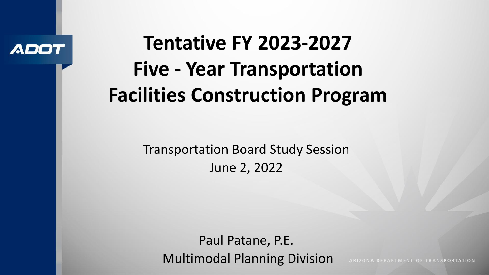

# **Tentative FY 2023-2027 Five - Year Transportation Facilities Construction Program**

Transportation Board Study Session June 2, 2022

Paul Patane, P.E. Multimodal Planning Division

ARIZONA DEPARTMENT OF TRANSPORTATION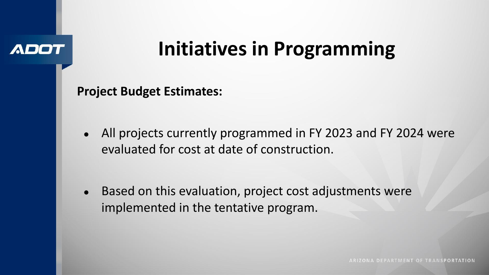### ADD

# **Initiatives in Programming**

**Project Budget Estimates:**

All projects currently programmed in FY 2023 and FY 2024 were evaluated for cost at date of construction.

• Based on this evaluation, project cost adjustments were implemented in the tentative program.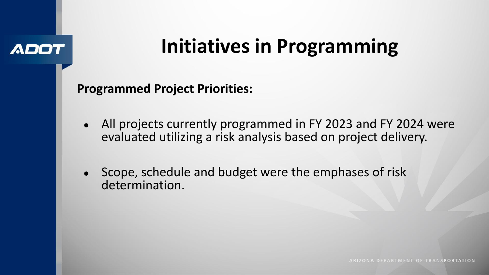### ADO

# **Initiatives in Programming**

**Programmed Project Priorities:**

- All projects currently programmed in FY 2023 and FY 2024 were evaluated utilizing a risk analysis based on project delivery.
- Scope, schedule and budget were the emphases of risk determination.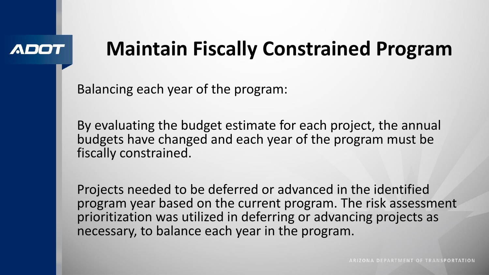### ADI

# **Maintain Fiscally Constrained Program**

Balancing each year of the program:

By evaluating the budget estimate for each project, the annual budgets have changed and each year of the program must be fiscally constrained.

Projects needed to be deferred or advanced in the identified program year based on the current program. The risk assessment prioritization was utilized in deferring or advancing projects as necessary, to balance each year in the program.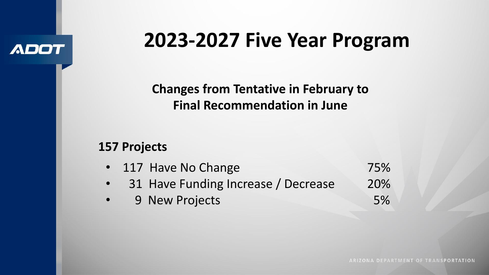### **ADOT**

## **2023-2027 Five Year Program**

**Changes from Tentative in February to Final Recommendation in June**

### **157 Projects**

|           | • 117 Have No Change                | 75%        |
|-----------|-------------------------------------|------------|
| $\bullet$ | 31 Have Funding Increase / Decrease | <b>20%</b> |
|           | 9 New Projects                      | 5%         |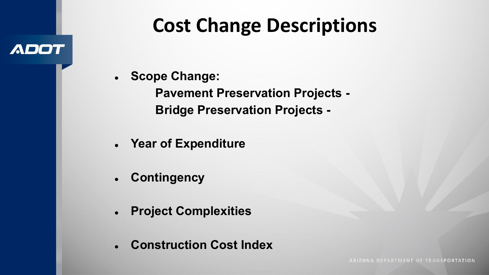## **Cost Change Descriptions**

**● Scope Change:**

**ADOT** 

**Pavement Preservation Projects - Bridge Preservation Projects -**

- **● Year of Expenditure**
- **● Contingency**
- **● Project Complexities**
- **● Construction Cost Index**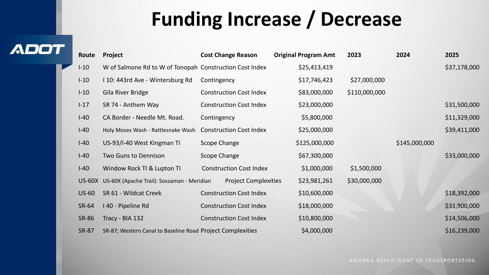## **Funding Increase / Decrease**

**ADOT** 

| Route        | Project                                                    | <b>Cost Change Reason</b>      | <b>Original Program Amt</b> | 2023          | 2024          | 2025         |
|--------------|------------------------------------------------------------|--------------------------------|-----------------------------|---------------|---------------|--------------|
| $I-10$       | W of Salmone Rd to W of Tonopah Construction Cost Index    |                                | \$25,413,419                |               |               | \$37,178,000 |
| $I-10$       | I 10: 443rd Ave - Wintersburg Rd                           | Contingency                    | \$17,746,423                | \$27,000,000  |               |              |
| $I-10$       | Gila River Bridge                                          | <b>Construction Cost Index</b> | \$83,000,000                | \$110,000,000 |               |              |
| $I-17$       | SR 74 - Anthem Way                                         | <b>Construction Cost Index</b> | \$23,000,000                |               |               | \$31,500,000 |
| $I-40$       | CA Border - Needle Mt. Road.                               | Contingency                    | \$5,800,000                 |               |               | \$11,329,000 |
| $I-40$       | Holy Moses Wash - Rattlesnake Wash                         | <b>Construction Cost Index</b> | \$25,000,000                |               |               | \$39,411,000 |
| $I-40$       | US-93/I-40 West Kingman TI                                 | Scope Change                   | \$125,000,000               |               | \$145,000,000 |              |
| $I-40$       | Two Guns to Dennison                                       | Scope Change                   | \$67,300,000                |               |               | \$33,000,000 |
| $I-40$       | Window Rock TI & Lupton TI                                 | <b>Construction Cost Index</b> | \$1,000,000                 | \$1,500,000   |               |              |
| $US-60X$     | US-60X (Apache Trail): Sossaman - Meridian                 | <b>Project Complexities</b>    | \$23,981,261                | \$30,000,000  |               |              |
| $US-60$      | SR 61 - Wildcat Creek                                      | <b>Construction Cost Index</b> | \$10,600,000                |               |               | \$18,392,000 |
| SR-64        | I 40 - Pipeline Rd                                         | <b>Construction Cost Index</b> | \$18,000,000                |               |               | \$31,900,000 |
| <b>SR-86</b> | Tracy - BIA 132                                            | <b>Construction Cost Index</b> | \$10,800,000                |               |               | \$14,506,000 |
| <b>SR-87</b> | SR-87; Western Canal to Baseline Road Project Complexities |                                | \$4,000,000                 |               |               | \$16,239,000 |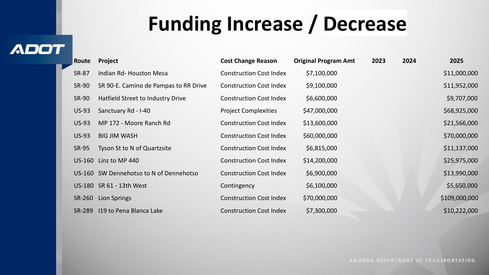# **Funding Increase / Decrease**

### **ADOT**

| Route        | Project                                 | <b>Cost Change Reason</b>      | <b>Original Program Amt</b> | 2023 | 2024 | 2025          |
|--------------|-----------------------------------------|--------------------------------|-----------------------------|------|------|---------------|
| SR-87        | Indian Rd- Houston Mesa                 | <b>Construction Cost Index</b> | \$7,100,000                 |      |      | \$11,000,000  |
| SR-90        | SR 90-E. Camino de Pampas to RR Drive   | <b>Construction Cost Index</b> | \$9,100,000                 |      |      | \$11,952,000  |
| SR-90        | Hatfield Street to Industry Drive       | <b>Construction Cost Index</b> | \$6,600,000                 |      |      | \$9,707,000   |
| $US-93$      | Sanctuary Rd - I-40                     | <b>Project Complexities</b>    | \$47,000,000                |      |      | \$68,925,000  |
| <b>US-93</b> | MP 172 - Moore Ranch Rd                 | <b>Construction Cost Index</b> | \$13,600,000                |      |      | \$21,566,000  |
| <b>US-93</b> | <b>BIG JIM WASH</b>                     | <b>Construction Cost Index</b> | \$60,000,000                |      |      | \$70,000,000  |
| SR-95        | Tyson St to N of Quartzsite             | <b>Construction Cost Index</b> | \$6,815,000                 |      |      | \$11,137,000  |
|              | US-160 Linz to MP 440                   | <b>Construction Cost Index</b> | \$14,200,000                |      |      | \$25,975,000  |
|              | US-160 SW Dennehotso to N of Dennehotso | <b>Construction Cost Index</b> | \$6,900,000                 |      |      | \$13,990,000  |
|              | US-180 SR 61 - 13th West                | Contingency                    | \$6,100,000                 |      |      | \$5,650,000   |
| SR-260       | Lion Springs                            | <b>Construction Cost Index</b> | \$70,000,000                |      |      | \$109,000,000 |
| SR-289       | 119 to Pena Blanca Lake                 | <b>Construction Cost Index</b> | \$7,300,000                 |      |      | \$10,222,000  |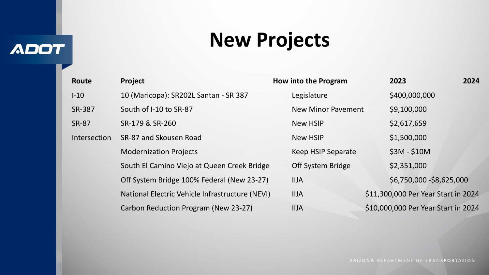**ADOT** 

## **New Projects**

| Project                                    | How into the Program | 2023                                                                                           | 2024               |
|--------------------------------------------|----------------------|------------------------------------------------------------------------------------------------|--------------------|
| 10 (Maricopa): SR202L Santan - SR 387      | Legislature          | \$400,000,000                                                                                  |                    |
| South of I-10 to SR-87                     |                      | \$9,100,000                                                                                    |                    |
| SR-179 & SR-260                            | <b>New HSIP</b>      | \$2,617,659                                                                                    |                    |
| SR-87 and Skousen Road                     | <b>New HSIP</b>      | \$1,500,000                                                                                    |                    |
| <b>Modernization Projects</b>              | Keep HSIP Separate   | $$3M - $10M$                                                                                   |                    |
|                                            | Off System Bridge    | \$2,351,000                                                                                    |                    |
| Off System Bridge 100% Federal (New 23-27) | <b>IIJA</b>          | \$6,750,000 - \$8,625,000                                                                      |                    |
|                                            | <b>IIJA</b>          | \$11,300,000 Per Year Start in 2024                                                            |                    |
| Carbon Reduction Program (New 23-27)       | <b>IIJA</b>          | \$10,000,000 Per Year Start in 2024                                                            |                    |
|                                            |                      | South El Camino Viejo at Queen Creek Bridge<br>National Electric Vehicle Infrastructure (NEVI) | New Minor Pavement |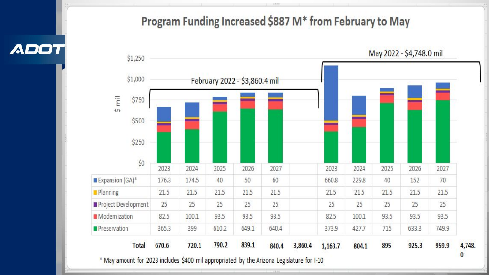### Program Funding Increased \$887 M\* from February to May

May 2022 - \$4,748.0 mil \$1,250 \$1,000 February 2022 - \$3,860.4 mil  $\frac{1}{2}$  mil \$750 \$500 \$250  $$0$ 2027 2023 2024 2025 2026 2023 2024 2025 2026 2027 Expansion  $(GA)^*$ 174.5 40 60 176.3 50 660.8 229.8 40 152 70 **Planning** 21.5 21.5 21.5  $21.5$ 21.5 21.5 21.5 21.5 21.5  $21.5$ Project Development 25 25 25 25 25 25 25 25 25 25 **Modemization** 82.5 100.1 93.5 93.5 93.5 82.5 100.1 93.5 93.5 93.5 715 749.9 Preservation 365.3 399 610.2 649.1 640.4 373.9 427.7 633.3 4,748. 720.1 790.2 839.1 925.3 959.9 **Total** 670.6 3,860.4 895 840.4 1,163.7 804.1  $\bf{0}$ \* May amount for 2023 includes \$400 mil appropriated by the Arizona Legislature for I-10

XXXX.

**ADOT**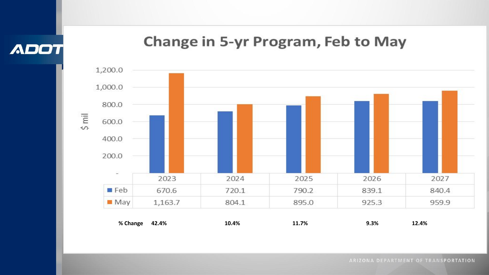**ADOT** 

### **Change in 5-yr Program, Feb to May**

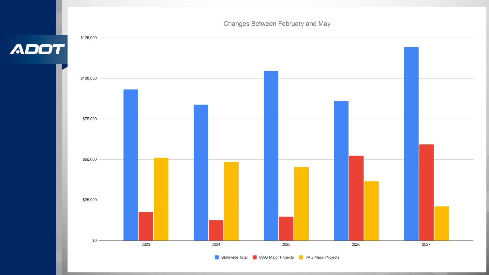Changes Between February and May

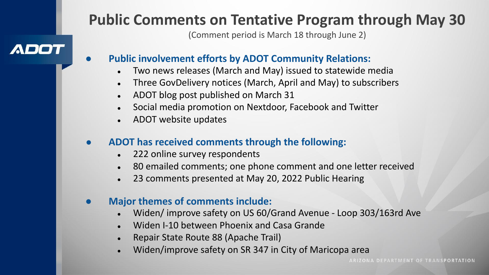### **Public Comments on Tentative Program through May 30**

(Comment period is March 18 through June 2)

### ADOT

- **Public involvement efforts by ADOT Community Relations:** 
	- Two news releases (March and May) issued to statewide media
	- Three GovDelivery notices (March, April and May) to subscribers
	- ADOT blog post published on March 31
	- Social media promotion on Nextdoor, Facebook and Twitter
	- ADOT website updates

### ● **ADOT has received comments through the following:**

- 222 online survey respondents
- 80 emailed comments; one phone comment and one letter received
- 23 comments presented at May 20, 2022 Public Hearing

#### ● **Major themes of comments include:**

- Widen/ improve safety on US 60/Grand Avenue Loop 303/163rd Ave
- Widen I-10 between Phoenix and Casa Grande
- Repair State Route 88 (Apache Trail)
- Widen/improve safety on SR 347 in City of Maricopa area